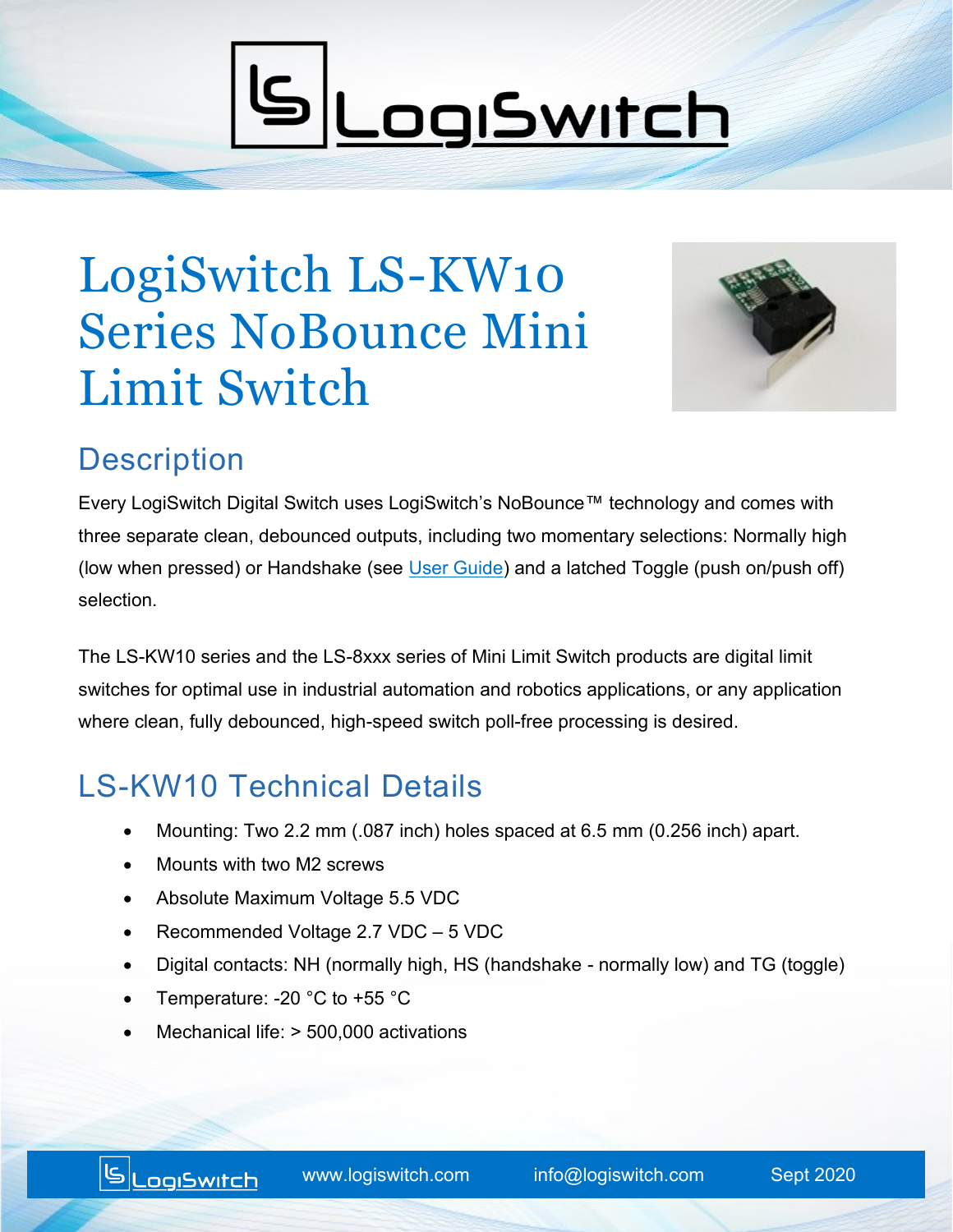# **SLogSwitch**

## LogiSwitch LS-KW10 Series NoBounce Mini Limit Switch



#### **Description**

Every LogiSwitch Digital Switch uses LogiSwitch's NoBounce™ technology and comes with three separate clean, debounced outputs, including two momentary selections: Normally high (low when pressed) or Handshake (see [User Guide\)](https://www.logiswitch.com/nobounce-switches-with-handshake-users-guide/) and a latched Toggle (push on/push off) selection.

The LS-KW10 series and the LS-8xxx series of Mini Limit Switch products are digital limit switches for optimal use in industrial automation and robotics applications, or any application where clean, fully debounced, high-speed switch poll-free processing is desired.

### LS-KW10 Technical Details

- Mounting: Two 2.2 mm (.087 inch) holes spaced at 6.5 mm (0.256 inch) apart.
- Mounts with two M2 screws
- Absolute Maximum Voltage 5.5 VDC
- Recommended Voltage 2.7 VDC 5 VDC
- Digital contacts: NH (normally high, HS (handshake normally low) and TG (toggle)
- Temperature: -20 °C to +55 °C
- Mechanical life: > 500,000 activations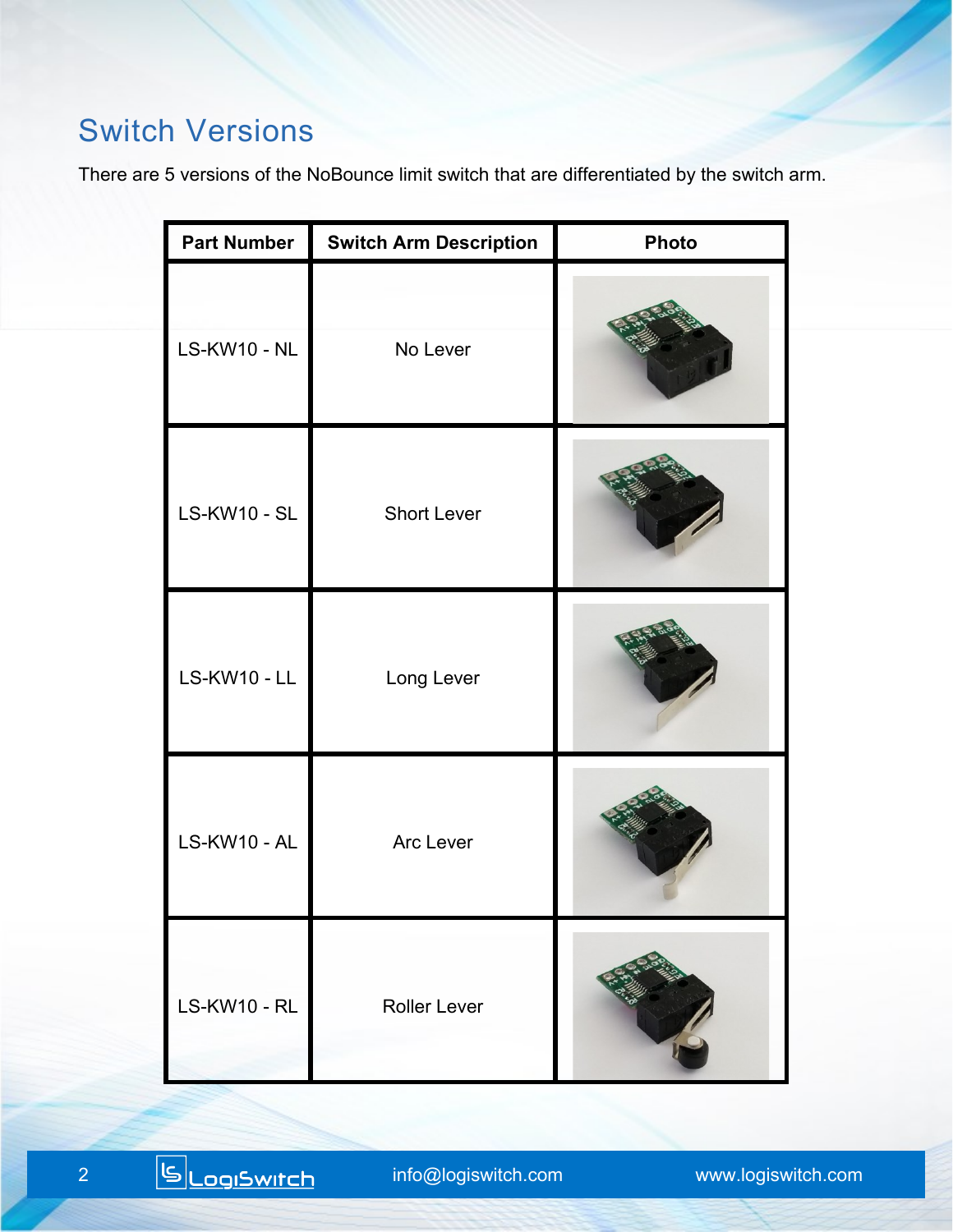#### Switch Versions

There are 5 versions of the NoBounce limit switch that are differentiated by the switch arm.

| <b>Part Number</b>  | <b>Switch Arm Description</b> | <b>Photo</b> |
|---------------------|-------------------------------|--------------|
| <b>LS-KW10 - NL</b> | No Lever                      |              |
| <b>LS-KW10 - SL</b> | <b>Short Lever</b>            |              |
| <b>LS-KW10 - LL</b> | Long Lever                    |              |
| LS-KW10 - AL        | Arc Lever                     |              |
| <b>LS-KW10 - RL</b> | <b>Roller Lever</b>           |              |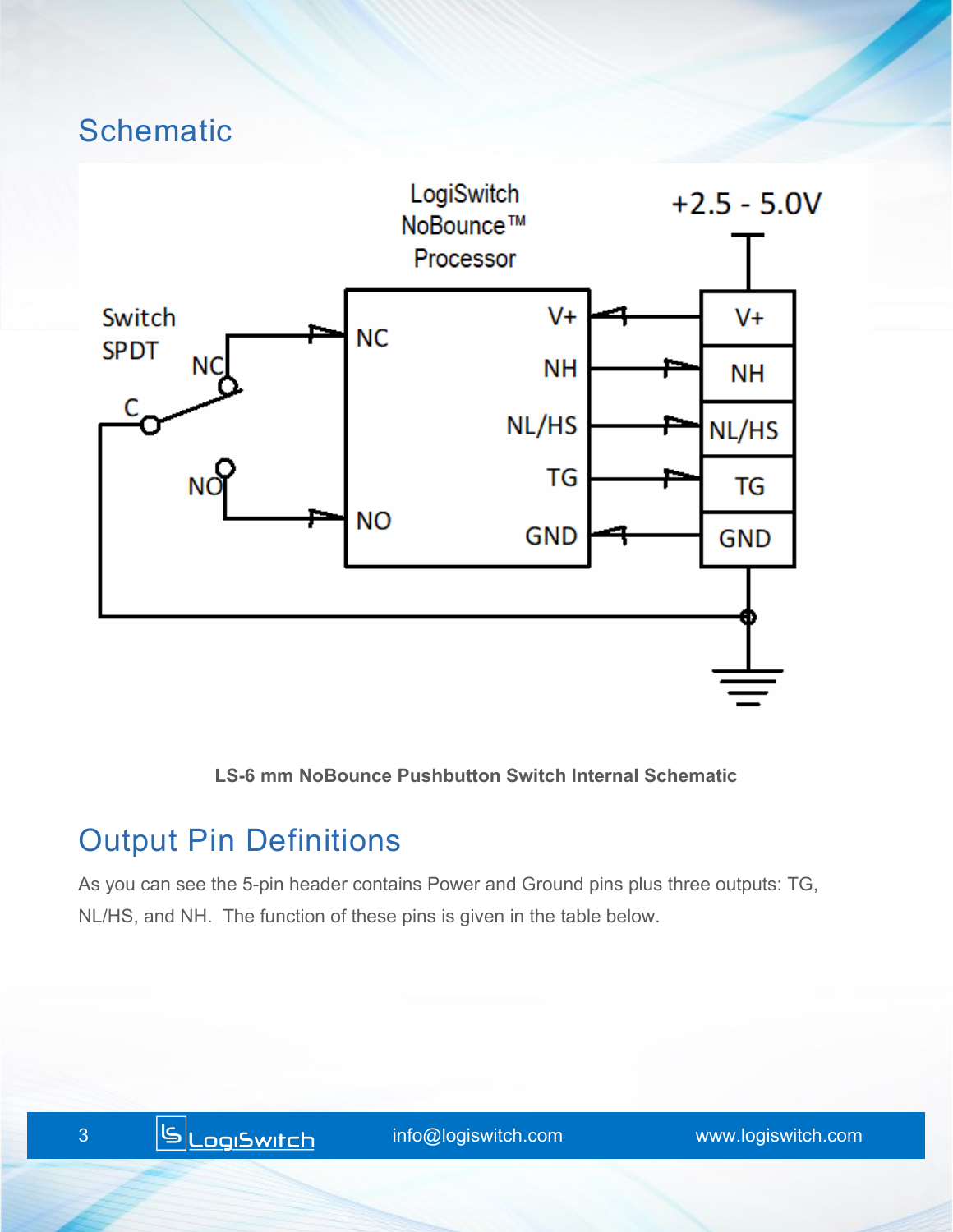#### **Schematic**



**LS-6 mm NoBounce Pushbutton Switch Internal Schematic**

#### Output Pin Definitions

As you can see the 5-pin header contains Power and Ground pins plus three outputs: TG, NL/HS, and NH. The function of these pins is given in the table below.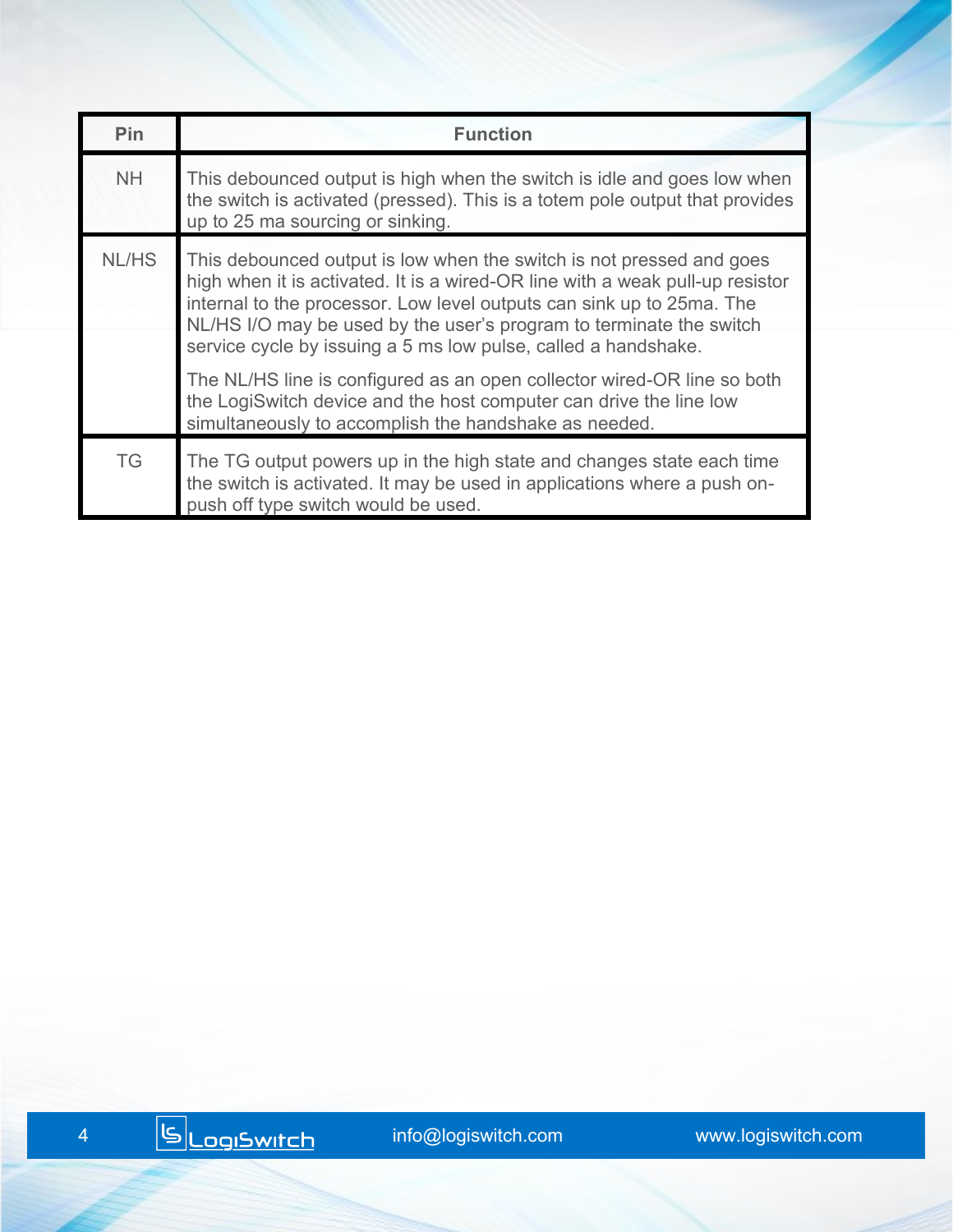| Pin       | <b>Function</b>                                                                                                                                                                                                                                                                                                                                                         |
|-----------|-------------------------------------------------------------------------------------------------------------------------------------------------------------------------------------------------------------------------------------------------------------------------------------------------------------------------------------------------------------------------|
| <b>NH</b> | This debounced output is high when the switch is idle and goes low when<br>the switch is activated (pressed). This is a totem pole output that provides<br>up to 25 ma sourcing or sinking.                                                                                                                                                                             |
| NL/HS     | This debounced output is low when the switch is not pressed and goes<br>high when it is activated. It is a wired-OR line with a weak pull-up resistor<br>internal to the processor. Low level outputs can sink up to 25ma. The<br>NL/HS I/O may be used by the user's program to terminate the switch<br>service cycle by issuing a 5 ms low pulse, called a handshake. |
|           | The NL/HS line is configured as an open collector wired-OR line so both<br>the LogiSwitch device and the host computer can drive the line low<br>simultaneously to accomplish the handshake as needed.                                                                                                                                                                  |
| <b>TG</b> | The TG output powers up in the high state and changes state each time<br>the switch is activated. It may be used in applications where a push on-<br>push off type switch would be used.                                                                                                                                                                                |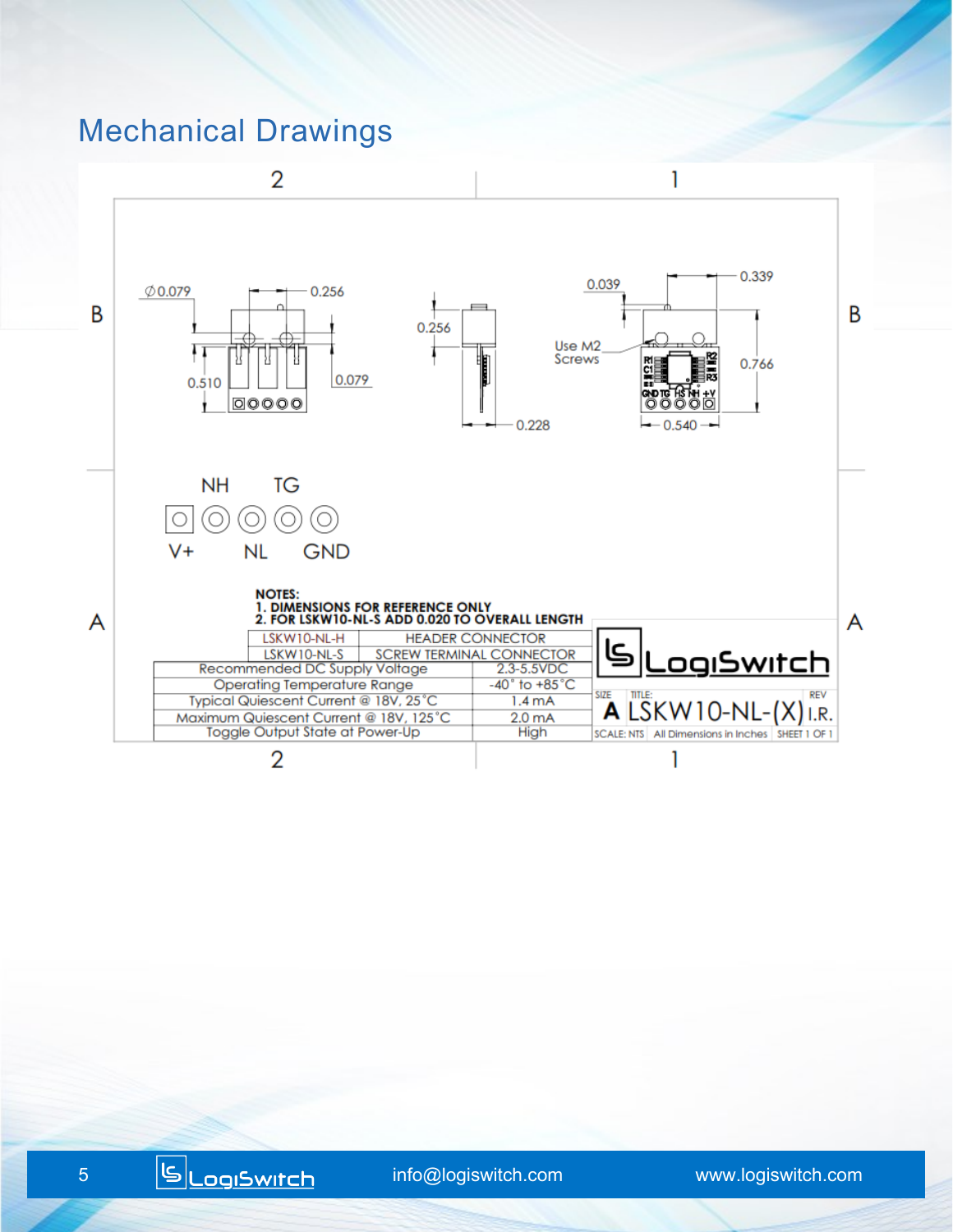#### Mechanical Drawings

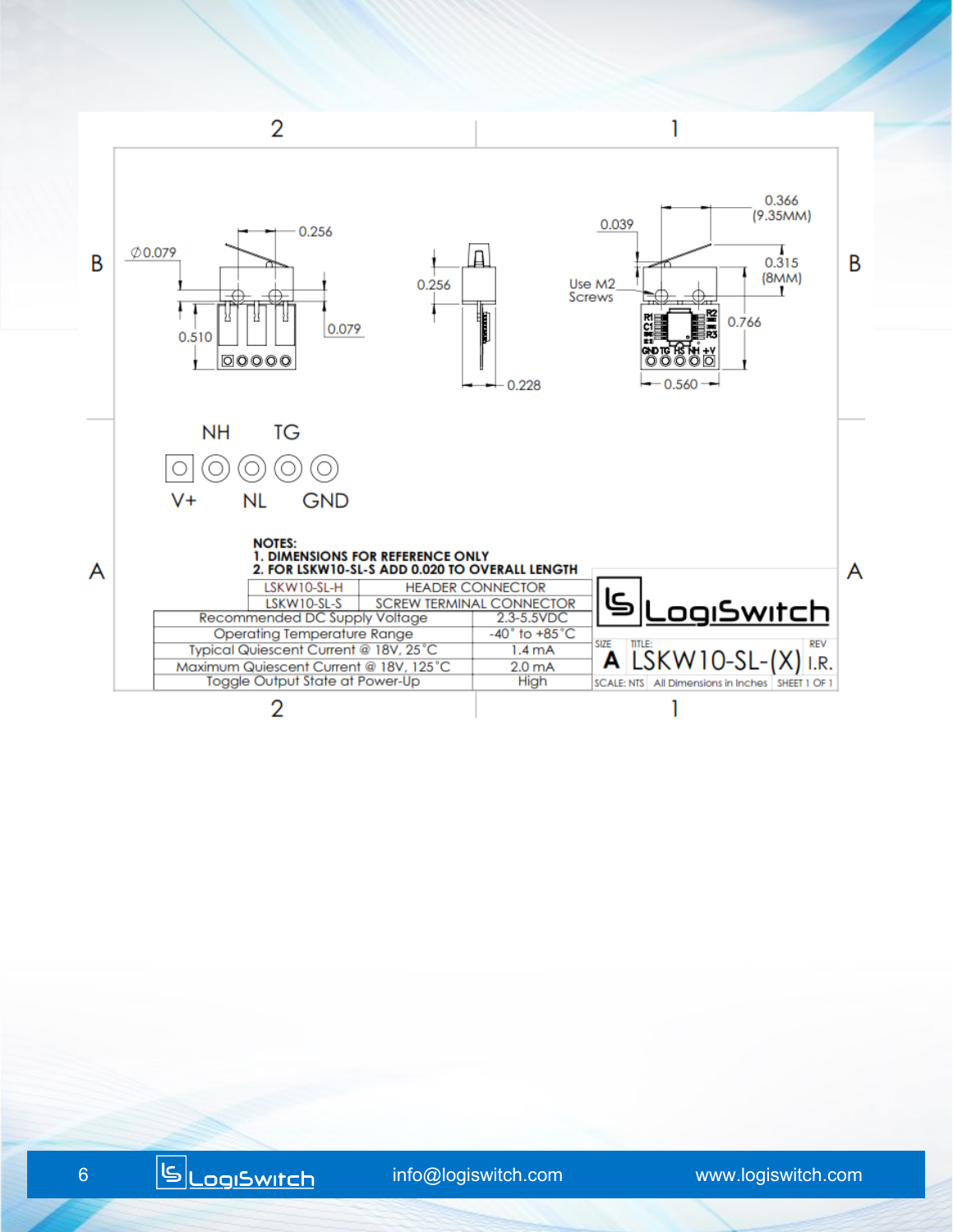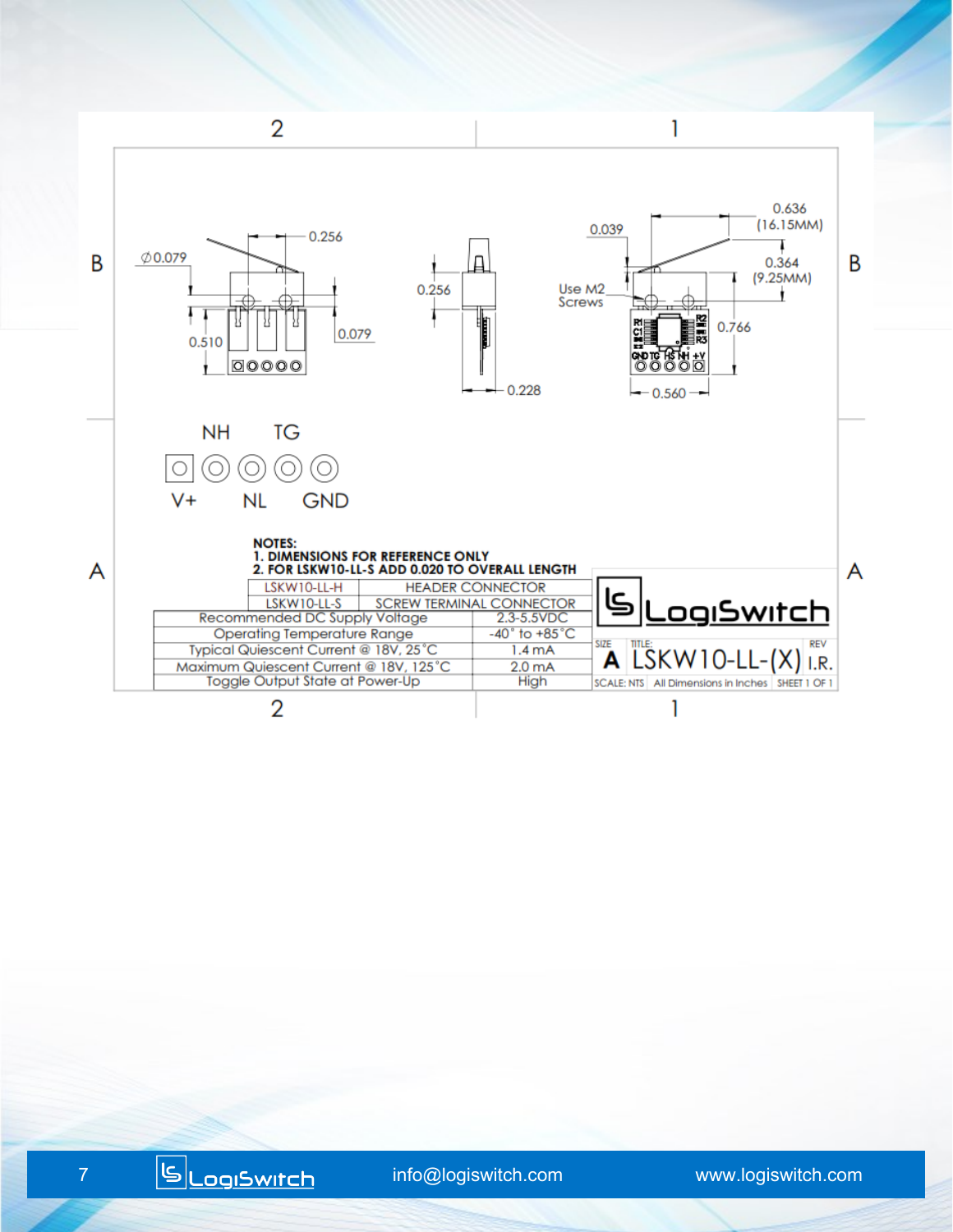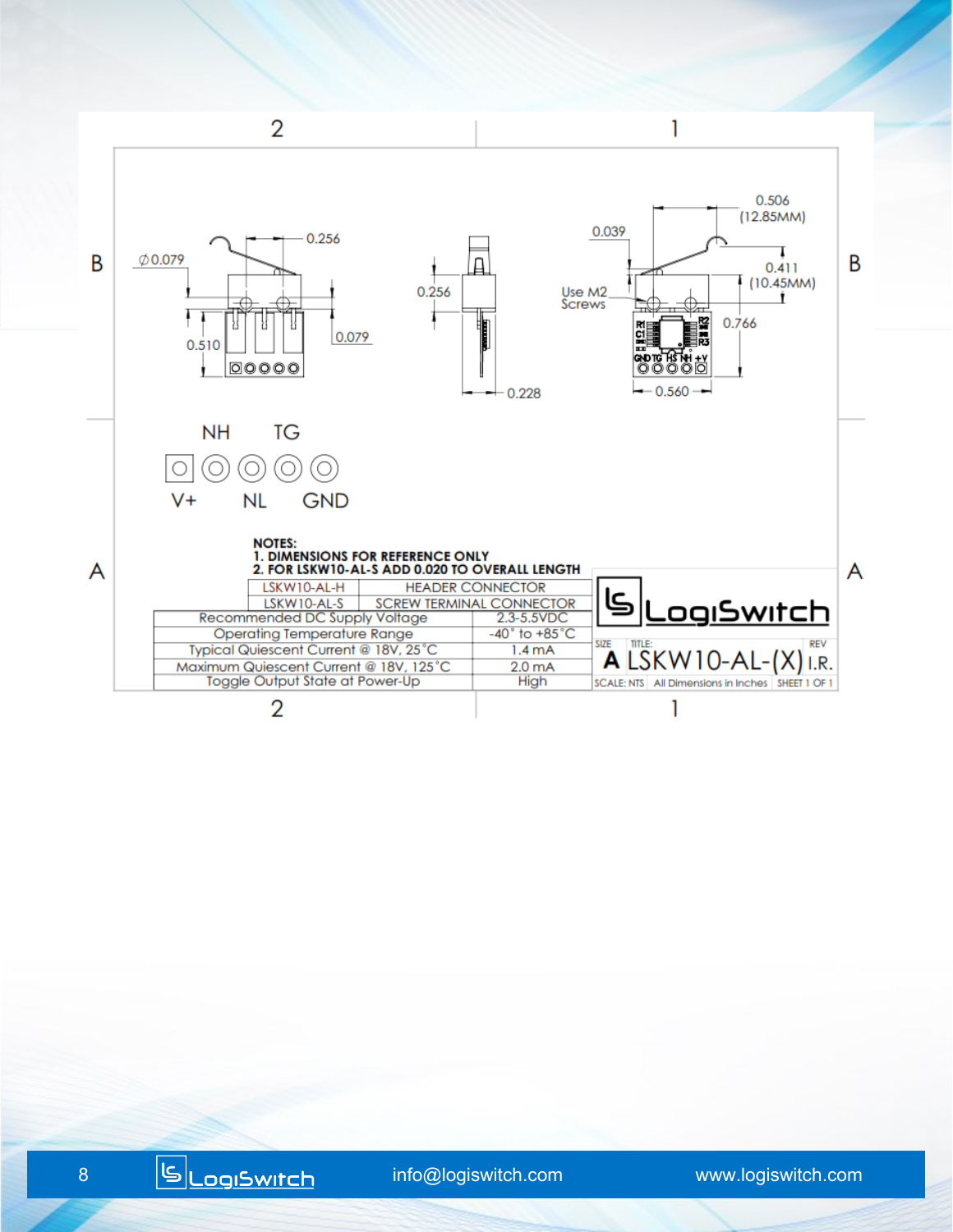